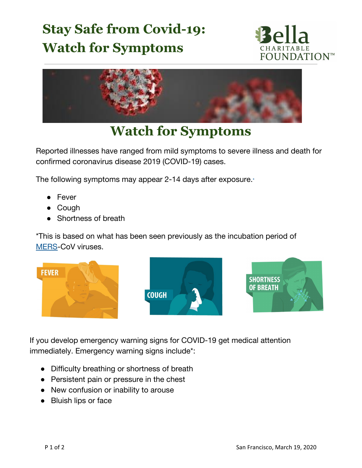## **Stay Safe from Covid-19: Watch for Symptoms**





## **Watch for Symptoms**

Reported illnesses have ranged from mild symptoms to severe illness and death for confirmed coronavirus disease 2019 (COVID-19) cases.

The following symptoms may appear 2-14 days after exposure.[\\*](https://www.cdc.gov/coronavirus/2019-ncov/symptoms-testing/symptoms.html#f1)

- Fever
- Cough
- Shortness of breath

\*This is based on what has been seen previously as the incubation period of [MERS-](https://www.cdc.gov/coronavirus/mers/index.html)CoV viruses.







If you develop emergency warning signs for COVID-19 get medical attention immediately. Emergency warning signs include\*:

- Difficulty breathing or shortness of breath
- Persistent pain or pressure in the chest
- New confusion or inability to arouse
- **Bluish lips or face**